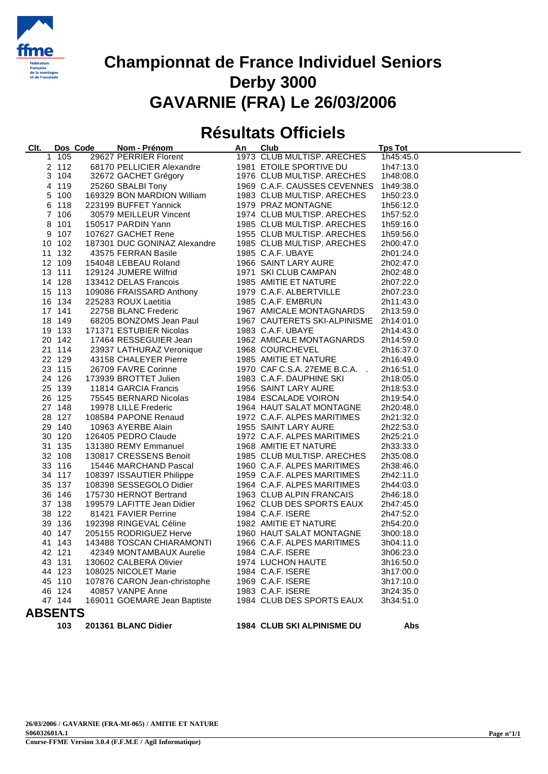

# **Résultats Officiels**

| Clt.           |        | Dos Code | Nom - Prénom                                                                                   | An | Club                                   | <b>Tps Tot</b> |
|----------------|--------|----------|------------------------------------------------------------------------------------------------|----|----------------------------------------|----------------|
|                | 1 105  |          | 29627 PERRIER Florent                                                                          |    | 1973 CLUB MULTISP. ARECHES             | 1h45:45.0      |
|                | 2 112  |          | 68170 PELLICIER Alexandre                                                                      |    | 1981 ETOILE SPORTIVE DU                | 1h47:13.0      |
|                | 3 104  |          | 32672 GACHET Grégory                                                                           |    | 1976 CLUB MULTISP. ARECHES             | 1h48:08.0      |
|                | 4 119  |          | 25260 SBALBI Tony                                                                              |    | 1969 C.A.F. CAUSSES CEVENNES           | 1h49:38.0      |
|                | 5 100  |          | 169329 BON MARDION William                                                                     |    | 1983 CLUB MULTISP. ARECHES             | 1h50:23.0      |
|                | 6 118  |          | 223199 BUFFET Yannick                                                                          |    | 1979 PRAZ MONTAGNE                     | 1h56:12.0      |
|                | 7 106  |          | 30579 MEILLEUR Vincent                                                                         |    | 1974 CLUB MULTISP. ARECHES             | 1h57:52.0      |
|                | 8 101  |          | 150517 PARDIN Yann                                                                             |    | 1985 CLUB MULTISP. ARECHES             | 1h59:16.0      |
|                | 9 107  |          |                                                                                                |    | 1955 CLUB MULTISP. ARECHES             | 1h59:56.0      |
|                | 10 102 |          |                                                                                                |    | 1985 CLUB MULTISP. ARECHES             | 2h00:47.0      |
|                | 11 132 |          | 43575 FERRAN Basile                                                                            |    | 1985 C.A.F. UBAYE                      | 2h01:24.0      |
|                | 12 109 |          | 154048 LEBEAU Roland                                                                           |    | 1966 SAINT LARY AURE                   | 2h02:47.0      |
|                | 13 111 |          | 129124 JUMERE Wilfrid                                                                          |    | 1971 SKI CLUB CAMPAN                   | 2h02:48.0      |
|                | 14 128 |          | 133412 DELAS Francois                                                                          |    | 1985 AMITIE ET NATURE                  | 2h07:22.0      |
|                | 15 113 |          |                                                                                                |    | 1979 C.A.F. ALBERTVILLE                | 2h07:23.0      |
|                | 16 134 |          | בני ביו בעברים רומונסו<br>109086 FRAISSARD Anthony<br>225283 ROUX Laetitia<br>22758 ביר היי בי |    | 1985 C.A.F. EMBRUN                     | 2h11:43.0      |
|                | 17 141 |          | 22758 BLANC Frederic                                                                           |    | 1967 AMICALE MONTAGNARDS               | 2h13:59.0      |
|                | 18 149 |          | 68205 BONZOMS Jean Paul                                                                        |    | 1967 CAUTERETS SKI-ALPINISME 2h14:01.0 |                |
|                | 19 133 |          | 171371 ESTUBIER Nicolas                                                                        |    | 1983 C.A.F. UBAYE                      | 2h14:43.0      |
|                | 20 142 |          | 17464 RESSEGUIER Jean                                                                          |    | 1962 AMICALE MONTAGNARDS               | 2h14:59.0      |
|                | 21 114 |          | 23937 LATHURAZ Veronique                                                                       |    | 1968 COURCHEVEL                        | 2h16:37.0      |
|                | 22 129 |          | 43158 CHALEYER Pierre                                                                          |    | 1985 AMITIE ET NATURE                  | 2h16:49.0      |
|                | 23 115 |          | 26709 FAVRE Corinne                                                                            |    | 1970 CAF C.S.A. 27EME B.C.A. .         | 2h16:51.0      |
|                | 24 126 |          | 173939 BROTTET Julien                                                                          |    | 1983 C.A.F. DAUPHINE SKI               | 2h18:05.0      |
|                | 25 139 |          | 11814 GARCIA Francis                                                                           |    | 1956 SAINT LARY AURE                   | 2h18:53.0      |
|                | 26 125 |          | 75545 BERNARD Nicolas                                                                          |    | 1984 ESCALADE VOIRON                   | 2h19:54.0      |
|                | 27 148 |          | 19978 LILLE Frederic                                                                           |    | 1964 HAUT SALAT MONTAGNE               | 2h20:48.0      |
|                | 28 127 |          | 108584 PAPONE Renaud                                                                           |    | 1972 C.A.F. ALPES MARITIMES            | 2h21:32.0      |
|                | 29 140 |          | 10963 AYERBE Alain                                                                             |    | 1955 SAINT LARY AURE                   | 2h22:53.0      |
|                | 30 120 |          | 126405 PEDRO Claude                                                                            |    | 1972 C.A.F. ALPES MARITIMES            | 2h25:21.0      |
|                | 31 135 |          | 131380 REMY Emmanuel                                                                           |    | 1968 AMITIE ET NATURE                  | 2h33:33.0      |
|                | 32 108 |          | 130817 CRESSENS Benoit                                                                         |    | 1985 CLUB MULTISP. ARECHES             | 2h35:08.0      |
|                | 33 116 |          | 15446 MARCHAND Pascal                                                                          |    | 1960 C.A.F. ALPES MARITIMES            | 2h38:46.0      |
|                | 34 117 |          | 108397 ISSAUTIER Philippe                                                                      |    | 1959 C.A.F. ALPES MARITIMES            | 2h42:11.0      |
|                | 35 137 |          | 108398 SESSEGOLO Didier                                                                        |    | 1964 C.A.F. ALPES MARITIMES            | 2h44:03.0      |
|                | 36 146 |          | 175730 HERNOT Bertrand                                                                         |    | 1963 CLUB ALPIN FRANCAIS               | 2h46:18.0      |
|                | 37 138 |          | 199579 LAFITTE Jean Didier                                                                     |    | 1962 CLUB DES SPORTS EAUX              | 2h47:45.0      |
|                | 38 122 |          | 81421 FAVIER Perrine                                                                           |    | 1984 C.A.F. ISERE                      | 2h47:52.0      |
|                | 39 136 |          | 192398 RINGEVAL Céline                                                                         |    | 1982 AMITIE ET NATURE                  | 2h54:20.0      |
|                | 40 147 |          | 205155 RODRIGUEZ Herve                                                                         |    | 1960 HAUT SALAT MONTAGNE               | 3h00:18.0      |
|                | 41 143 |          | 143488 TOSCAN CHIARAMONTI                                                                      |    | 1966 C.A.F. ALPES MARITIMES            | 3h04:11.0      |
|                | 42 121 |          | 42349 MONTAMBAUX Aurelie                                                                       |    | 1984 C.A.F. ISERE                      | 3h06:23.0      |
|                | 43 131 |          | 130602 CALBERA Olivier                                                                         |    | 1974 LUCHON HAUTE                      | 3h16:50.0      |
|                | 44 123 |          | 108025 NICOLET Marie                                                                           |    | 1984 C.A.F. ISERE                      | 3h17:00.0      |
|                | 45 110 |          | 107876 CARON Jean-christophe                                                                   |    | 1969 C.A.F. ISERE                      | 3h17:10.0      |
|                | 46 124 |          | 40857 VANPE Anne                                                                               |    | 1983 C.A.F. ISERE                      | 3h24:35.0      |
|                | 47 144 |          | 169011 GOEMARE Jean Baptiste                                                                   |    | 1984 CLUB DES SPORTS EAUX              | 3h34:51.0      |
| <b>ABSENTS</b> |        |          |                                                                                                |    |                                        |                |
|                | 103    |          | 201361 BLANC Didier                                                                            |    | 1984 CLUB SKI ALPINISME DU             | Abs            |
|                |        |          |                                                                                                |    |                                        |                |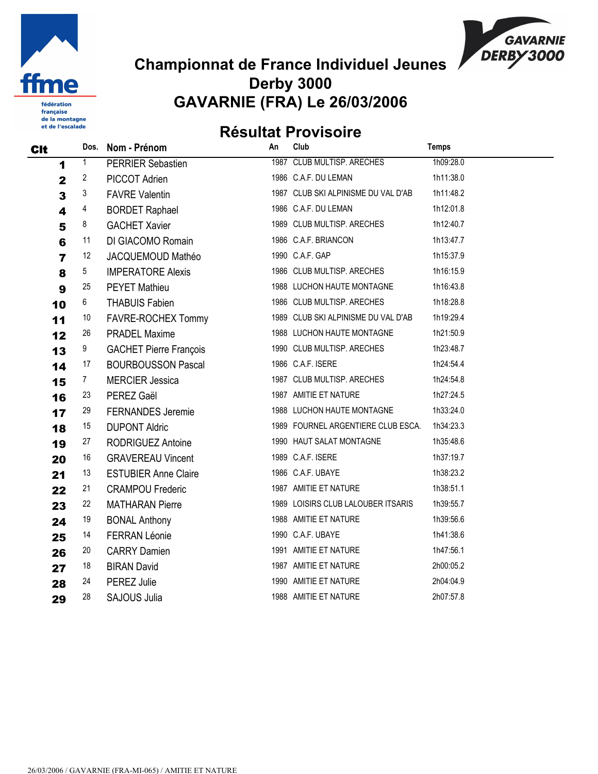

française de la montagne et de l'escalade

#### Championnat de France Individuel Jeunes Derby 3000 GAVARNIE (FRA) Le 26/03/2006

**GAVARNIE** DERBY3000

# Résultat Provisoire

| CIt                     | Dos. | Nom - Prénom                  | An | Club                                | <b>Temps</b> |  |
|-------------------------|------|-------------------------------|----|-------------------------------------|--------------|--|
| 1                       | 1    | <b>PERRIER Sebastien</b>      |    | 1987 CLUB MULTISP. ARECHES          | 1h09:28.0    |  |
| $\mathbf 2$             | 2    | PICCOT Adrien                 |    | 1986 C.A.F. DU LEMAN                | 1h11:38.0    |  |
| $\overline{\mathbf{3}}$ | 3    | <b>FAVRE Valentin</b>         |    | 1987 CLUB SKI ALPINISME DU VAL D'AB | 1h11:48.2    |  |
| 4                       | 4    | <b>BORDET Raphael</b>         |    | 1986 C.A.F. DU LEMAN                | 1h12:01.8    |  |
| 5                       | 8    | <b>GACHET Xavier</b>          |    | 1989 CLUB MULTISP. ARECHES          | 1h12:40.7    |  |
| $6\phantom{1}6$         | 11   | DI GIACOMO Romain             |    | 1986 C.A.F. BRIANCON                | 1h13:47.7    |  |
| $\overline{7}$          | 12   | JACQUEMOUD Mathéo             |    | 1990 C.A.F. GAP                     | 1h15:37.9    |  |
| 8                       | 5    | <b>IMPERATORE Alexis</b>      |    | 1986 CLUB MULTISP. ARECHES          | 1h16:15.9    |  |
| 9                       | 25   | <b>PEYET Mathieu</b>          |    | 1988 LUCHON HAUTE MONTAGNE          | 1h16:43.8    |  |
| 10                      | 6    | <b>THABUIS Fabien</b>         |    | 1986 CLUB MULTISP. ARECHES          | 1h18:28.8    |  |
| 11                      | 10   | FAVRE-ROCHEX Tommy            |    | 1989 CLUB SKI ALPINISME DU VAL D'AB | 1h19:29.4    |  |
| 12                      | 26   | <b>PRADEL Maxime</b>          |    | 1988 LUCHON HAUTE MONTAGNE          | 1h21:50.9    |  |
| 13                      | 9    | <b>GACHET Pierre François</b> |    | 1990 CLUB MULTISP. ARECHES          | 1h23:48.7    |  |
| 14                      | 17   | <b>BOURBOUSSON Pascal</b>     |    | 1986 C.A.F. ISERE                   | 1h24:54.4    |  |
| 15                      | 7    | <b>MERCIER Jessica</b>        |    | 1987 CLUB MULTISP. ARECHES          | 1h24:54.8    |  |
| 16                      | 23   | PEREZ Gaël                    |    | 1987 AMITIE ET NATURE               | 1h27:24.5    |  |
| 17                      | 29   | <b>FERNANDES Jeremie</b>      |    | 1988 LUCHON HAUTE MONTAGNE          | 1h33:24.0    |  |
| 18                      | 15   | <b>DUPONT Aldric</b>          |    | 1989 FOURNEL ARGENTIERE CLUB ESCA.  | 1h34:23.3    |  |
| 19                      | 27   | RODRIGUEZ Antoine             |    | 1990 HAUT SALAT MONTAGNE            | 1h35:48.6    |  |
| 20                      | 16   | <b>GRAVEREAU Vincent</b>      |    | 1989 C.A.F. ISERE                   | 1h37:19.7    |  |
| 21                      | 13   | <b>ESTUBIER Anne Claire</b>   |    | 1986 C.A.F. UBAYE                   | 1h38:23.2    |  |
| 22                      | 21   | <b>CRAMPOU Frederic</b>       |    | 1987 AMITIE ET NATURE               | 1h38:51.1    |  |
| 23                      | 22   | <b>MATHARAN Pierre</b>        |    | 1989 LOISIRS CLUB LALOUBER ITSARIS  | 1h39:55.7    |  |
| 24                      | 19   | <b>BONAL Anthony</b>          |    | 1988 AMITIE ET NATURE               | 1h39:56.6    |  |
| 25                      | 14   | <b>FERRAN Léonie</b>          |    | 1990 C.A.F. UBAYE                   | 1h41:38.6    |  |
| 26                      | 20   | <b>CARRY Damien</b>           |    | 1991 AMITIE ET NATURE               | 1h47:56.1    |  |
| 27                      | 18   | <b>BIRAN David</b>            |    | 1987 AMITIE ET NATURE               | 2h00:05.2    |  |
| 28                      | 24   | PEREZ Julie                   |    | 1990 AMITIE ET NATURE               | 2h04:04.9    |  |
| 29                      | 28   | <b>SAJOUS Julia</b>           |    | 1988 AMITIE ET NATURE               | 2h07:57.8    |  |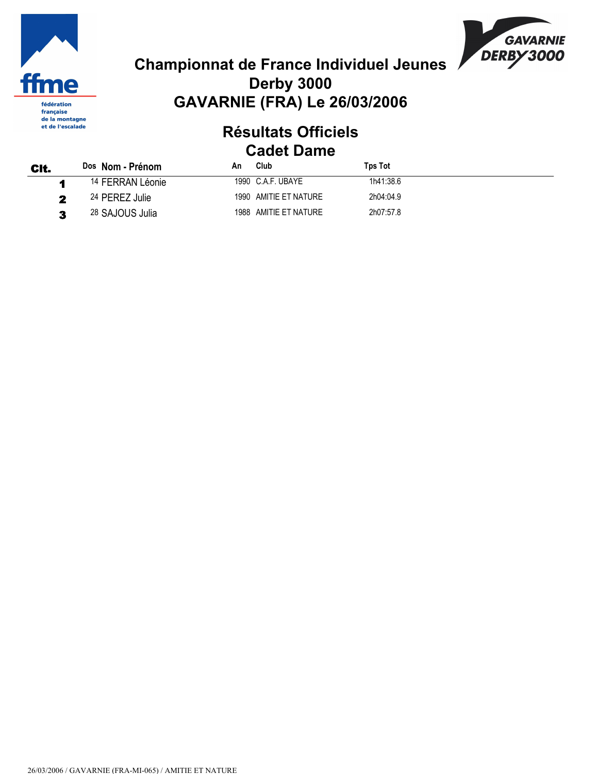



#### Résultats Officiels Cadet Dame

| CIt. | Dos Nom - Prénom            | An | Club                  | <b>Tps Tot</b> |
|------|-----------------------------|----|-----------------------|----------------|
|      | <sup>14</sup> FERRAN Léonie |    | 1990 C.A.F. UBAYE     | 1h41:38.6      |
| 2    | 24 PEREZ Julie              |    | 1990 AMITIE ET NATURE | 2h04:04.9      |
| 2    | 28 SAJOUS Julia             |    | 1988 AMITIE ET NATURE | 2h07:57.8      |

26/03/2006 / GAVARNIE (FRA-MI-065) / AMITIE ET NATURE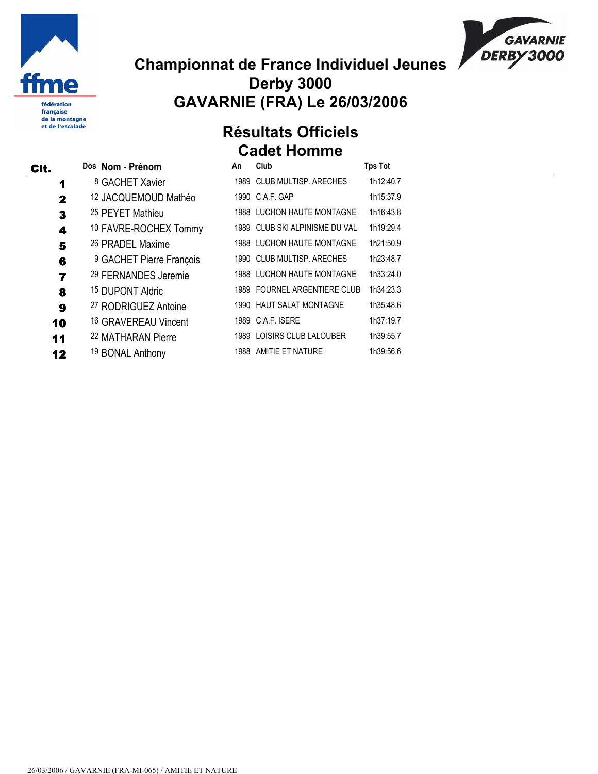



#### Résultats Officiels Cadet Homme

| CIt. | Dos Nom - Prénom                | An | Club                           | <b>Tps Tot</b> |
|------|---------------------------------|----|--------------------------------|----------------|
| 1    | <sup>8</sup> GACHET Xavier      |    | 1989 CLUB MULTISP, ARECHES     | 1h12:40.7      |
| 2    | <sup>12</sup> JACQUEMOUD Mathéo |    | 1990 C.A.F. GAP                | 1h15:37.9      |
| 3    | 25 PEYET Mathieu                |    | 1988 LUCHON HAUTE MONTAGNE     | 1h16:43.8      |
| 4    | 10 FAVRE-ROCHEX Tommy           |    | 1989 CLUB SKI ALPINISME DU VAL | 1h19:29.4      |
| 5    | 26 PRADEL Maxime                |    | 1988 LUCHON HAUTE MONTAGNE     | 1h21:50.9      |
| 6    | 9 GACHET Pierre François        |    | 1990 CLUB MULTISP, ARECHES     | 1h23:48.7      |
| 7    | 29 FERNANDES Jeremie            |    | 1988 LUCHON HAUTE MONTAGNE     | 1h33:24.0      |
| 8    | <sup>15</sup> DUPONT Aldric     |    | 1989 FOURNEL ARGENTIERE CLUB   | 1h34:23.3      |
| 9    | 27 RODRIGUEZ Antoine            |    | 1990 HAUT SALAT MONTAGNE       | 1h35:48.6      |
| 10   | 16 GRAVEREAU Vincent            |    | 1989 C.A.F. ISERE              | 1h37:19.7      |
| 11   | 22 MATHARAN Pierre              |    | 1989 LOISIRS CLUB LALOUBER     | 1h39:55.7      |
| 12   | 19 BONAL Anthony                |    | 1988 AMITIE ET NATURE          | 1h39:56.6      |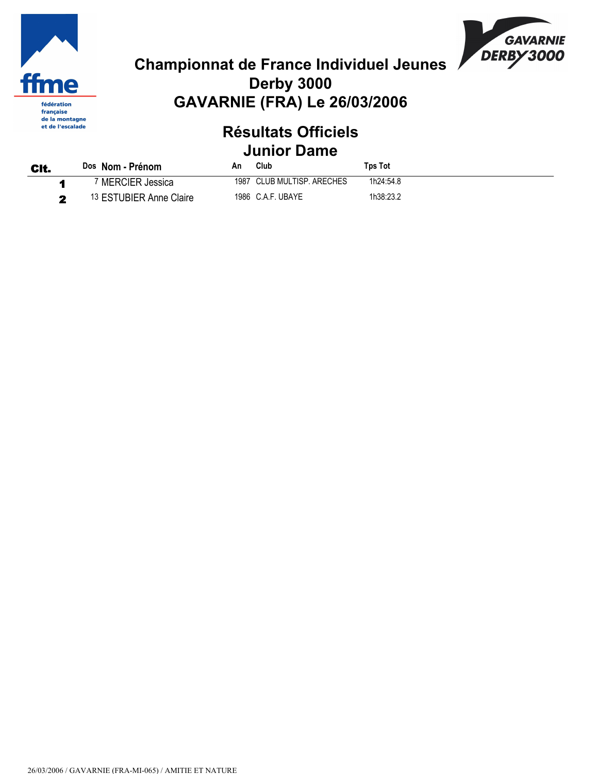



#### Résultats Officiels Junior Dame

| CIt. | Dos Nom - Prénom        | An   | Club                  | Tps Tot   |
|------|-------------------------|------|-----------------------|-----------|
|      | <b>MERCIER Jessica</b>  | 1987 | CLUB MULTISP. ARECHES | 1h24:54.8 |
| -    | 13 ESTUBIER Anne Claire |      | 1986 C.A.F. UBAYE     | 1h38:23.2 |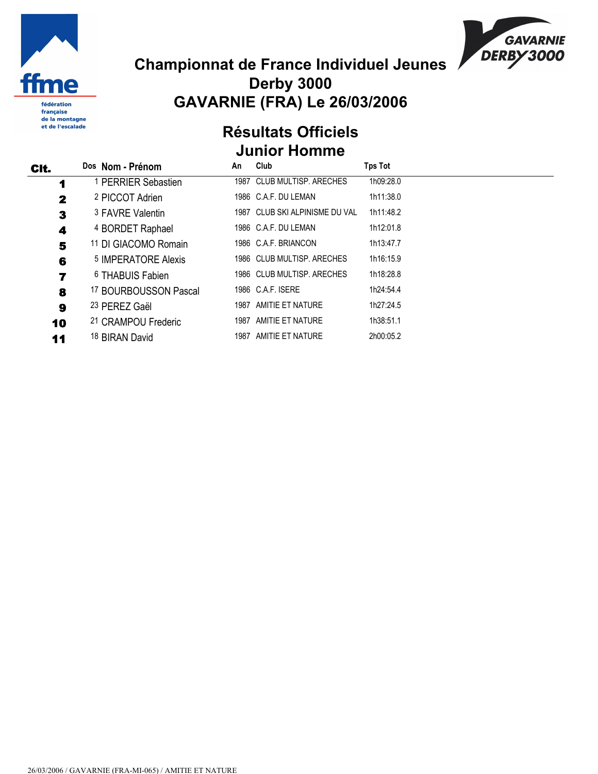



#### Résultats Officiels Junior Homme

| CIt.         | Dos Nom - Prénom               | An   | Club                           | <b>Tps Tot</b> |
|--------------|--------------------------------|------|--------------------------------|----------------|
| 1            | <sup>1</sup> PERRIER Sebastien |      | 1987 CLUB MULTISP, ARECHES     | 1h09:28.0      |
| $\mathbf{2}$ | 2 PICCOT Adrien                |      | 1986 C.A.F. DU LEMAN           | 1h11:38.0      |
| 3            | 3 FAVRE Valentin               |      | 1987 CLUB SKI ALPINISME DU VAL | 1h11:48.2      |
| 4            | 4 BORDET Raphael               |      | 1986 C.A.F. DU LEMAN           | 1h12:01.8      |
| 5            | 11 DI GIACOMO Romain           |      | 1986 C.A.F. BRIANCON           | 1h13:47.7      |
| 6            | 5 IMPERATORE Alexis            |      | 1986 CLUB MULTISP, ARECHES     | 1h16:15.9      |
| 7            | <sup>6</sup> THABUIS Fabien    |      | 1986 CLUB MULTISP, ARECHES     | 1h18:28.8      |
| 8            | 17 BOURBOUSSON Pascal          |      | 1986 C.A.F. ISERE              | 1h24:54.4      |
| 9            | 23 PEREZ Gaël                  |      | 1987 AMITIE ET NATURE          | 1h27:24.5      |
| 10           | 21 CRAMPOU Frederic            | 1987 | AMITIE ET NATURE               | 1h38:51.1      |
| 11           | 18 BIRAN David                 |      | 1987 AMITIE ET NATURE          | 2h00:05.2      |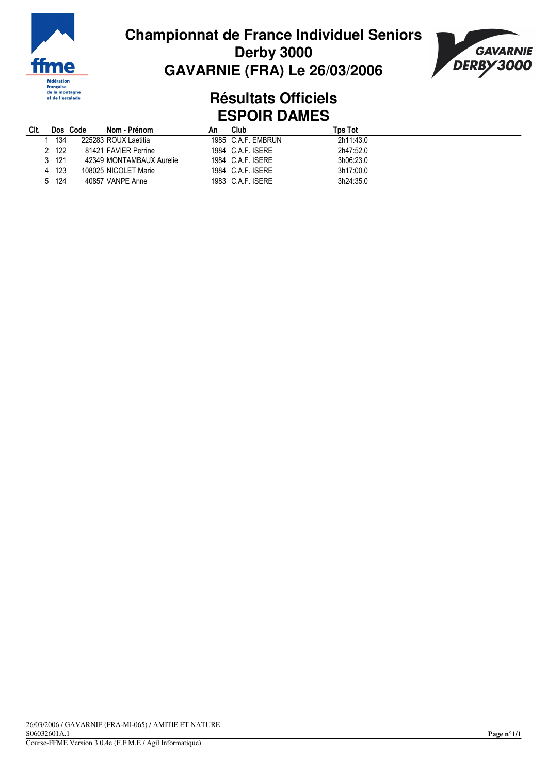



#### **Résultats Officiels ESPOIR DAMES**

| CIt. |       | Dos Code | Nom - Prénom             | Αn | Club               | Tps Tot   |
|------|-------|----------|--------------------------|----|--------------------|-----------|
|      | 134   |          | 225283 ROUX Laetitia     |    | 1985 C.A.F. EMBRUN | 2h11:43.0 |
|      | 2 122 |          | 81421 FAVIER Perrine     |    | 1984 C.A.F. ISERE  | 2h47:52.0 |
|      | 3 121 |          | 42349 MONTAMBAUX Aurelie |    | 1984 C.A.F. ISERE  | 3h06:23.0 |
|      | 4 123 |          | 108025 NICOLET Marie     |    | 1984 C.A.F. ISERE  | 3h17:00.0 |
|      | 5 124 |          | 40857 VANPE Anne         |    | 1983 C.A.F. ISERE  | 3h24:35.0 |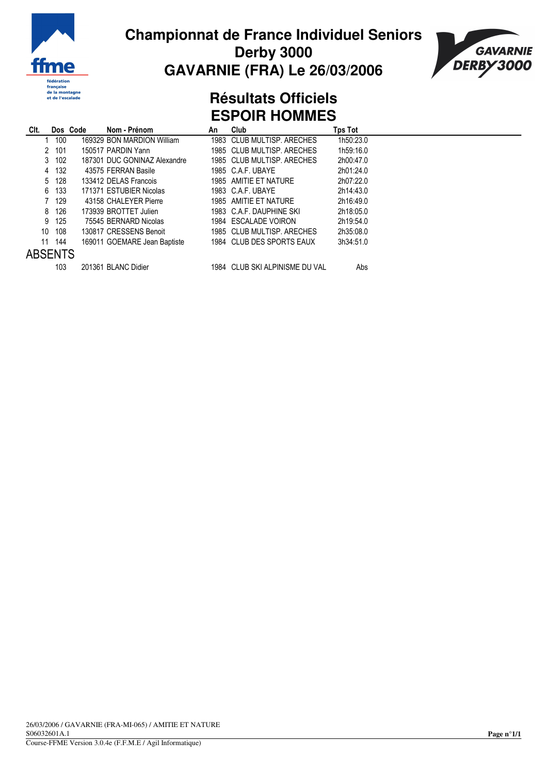



#### **Résultats Officiels ESPOIR HOMMES**

| Clt.           | Dos Code | Nom - Prénom                 | An | Club                           | Tps Tot   |  |
|----------------|----------|------------------------------|----|--------------------------------|-----------|--|
|                | 100      | 169329 BON MARDION William   |    | 1983 CLUB MULTISP, ARECHES     | 1h50:23.0 |  |
|                | 101<br>2 | 150517 PARDIN Yann           |    | 1985 CLUB MULTISP, ARECHES     | 1h59:16.0 |  |
|                | 3 102    | 187301 DUC GONINAZ Alexandre |    | 1985 CLUB MULTISP, ARECHES     | 2h00:47.0 |  |
|                | 4 132    | 43575 FERRAN Basile          |    | 1985 CAF UBAYE                 | 2h01:24.0 |  |
|                | 5 128    | 133412 DELAS Francois        |    | 1985 AMITIE ET NATURE          | 2h07:22.0 |  |
|                | 133<br>6 | 171371 ESTUBIER Nicolas      |    | 1983 C.A.F. UBAYE              | 2h14:43.0 |  |
|                | 129      | 43158 CHALEYER Pierre        |    | 1985 AMITIE ET NATURE          | 2h16:49.0 |  |
|                | 126<br>8 | 173939 BROTTET Julien        |    | 1983 C.A.F. DAUPHINE SKI       | 2h18:05.0 |  |
| 9              | 125      | 75545 BERNARD Nicolas        |    | 1984 ESCALADE VOIRON           | 2h19:54.0 |  |
| 10             | 108      | 130817 CRESSENS Benoit       |    | 1985 CLUB MULTISP, ARECHES     | 2h35:08.0 |  |
| 11             | 144      | 169011 GOEMARE Jean Baptiste |    | 1984 CLUB DES SPORTS EAUX      | 3h34:51.0 |  |
| <b>ABSENTS</b> |          |                              |    |                                |           |  |
|                | 103      | 201361 BLANC Didier          |    | 1984 CLUB SKI ALPINISME DU VAL | Abs       |  |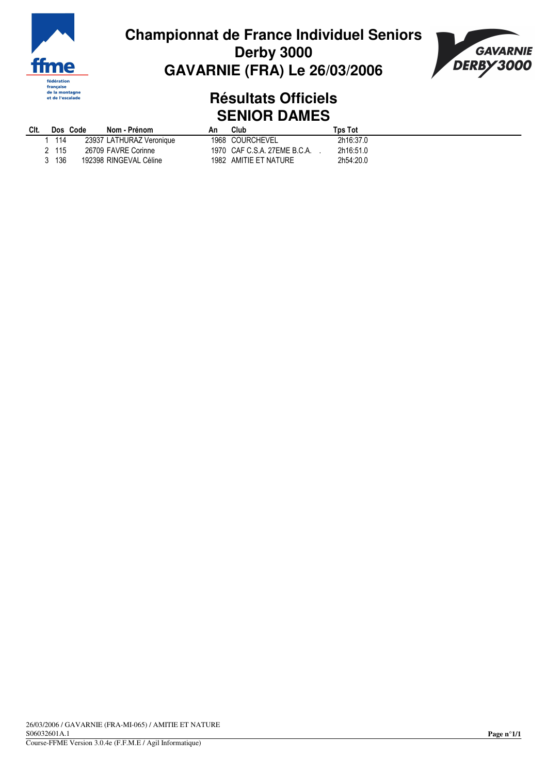



#### **Résultats Officiels SENIOR DAMES**

| CIt. | Dos Code | Nom - Prénom             | Αn   | Club                         | Tɒs Tot   |
|------|----------|--------------------------|------|------------------------------|-----------|
| 114  |          | 23937 LATHURAZ Veronique |      | 1968 COURCHEVEL              | 2h16:37.0 |
| 115  |          | 26709 FAVRE Corinne      |      | 1970 CAF C.S.A. 27EME B.C.A. | 2h16:51.0 |
| 136  |          | 192398 RINGEVAL Céline   | 1982 | AMITIE ET NATURE             | 2h54:20.0 |